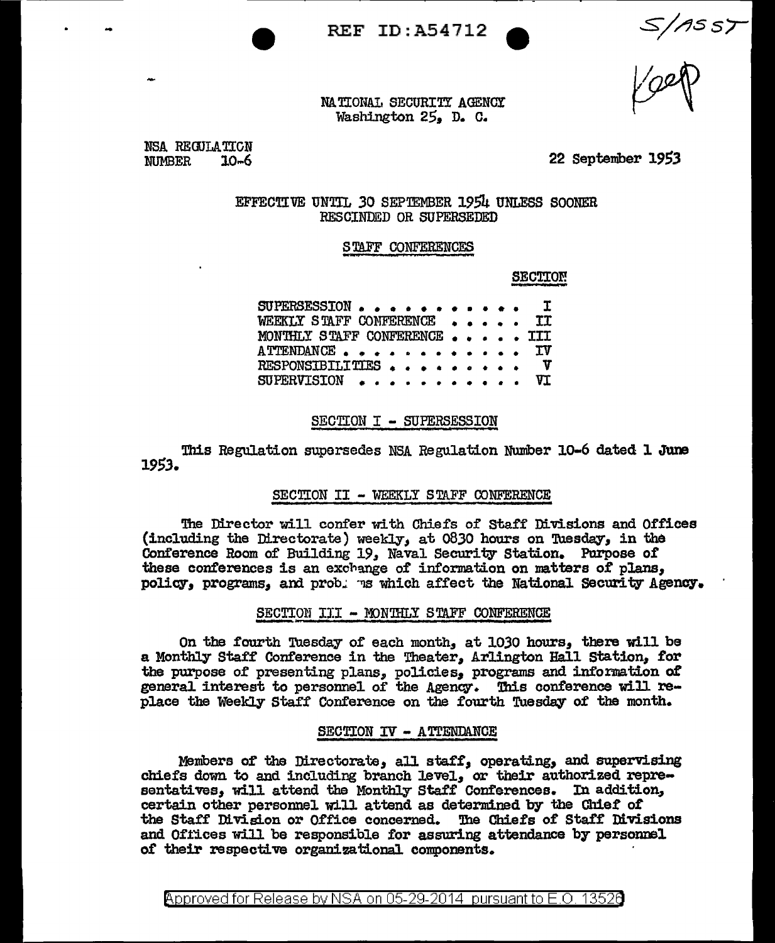$S/1557$ 

NA TIONAL SECURITY AGENCY Washington 25. D. C.

REF ID:A54712

NSA REGULATION  $NIMBER$   $10-6$ 

..

22 September 19S3

EFFECT.IVE UNTIL 30 SEPTEMBER 1954 UNLESS SOONER RESCINDED OR SUPERSEDED

## STAFF CONFERENCES

SECTION.

SUPERSESSION • • • • • • • • • • • • I WEEKLY STAFF CONFERENCE . . MONTHLY STAFF CONFERENCE . . . . . III<br>ATTENDANCE . . . . . . . . . . . . IV ATTENDANCE . . . . . . . . . . . . IV<br>RESPONSIBILITIES . . . . . . . . . V RESPONSIBILITIES . . . . . . . . . VI  $SUFFERVISTON \t{.} \t{.} \t{.} \t{.}$ 

## SECTION I - SUPERSESSION

This Regulation supersedes NSA Regulation Nuniber 10-6 dated l June *1953.* 

#### SECTION II - WEEKLY STAFF CONFERENCE

The Director will confer with Chiefs of Staff Divisions and Offices (including the Directorate) weekly, at 0830 hours on Tuesday, in the Conference Room of Building 19, Naval Security Station. Purpose of these conferences is an exchange of information on matters of plans, policy, programs, and prob. Is which affect the National Security Agency.

# SECTION III - MONTHLY STAFF CONFERENCE

On the fourth Tuesday of each month, at 1030 hours, there will be a Monthly Staff Conference in the Theater, Arlington Hall Station, for the purpose of presenting plans, policies, programs and information of general interest to personnel of the Agency. This conference will replace the Weekly Staff Conference on the fourth Tuesday of the month.

## SECTION IV - ATTENDANCE

Members of the Directorate, all staff, operating, and supervising chiefs down to and including branch level, or their authorized representatives, will attend the Monthly Staff Conferences. In addition, certain other personnel will attend as determined by the Chiet 0£ the Staff Division or Office concerned. The Chiefs of Staff Divisions and Offices will be responsible for assuring attendance by personnel of their respective organizational components.

@'pproved for Release by NSA on 05-29-2014 pursuant to E.O. 1352e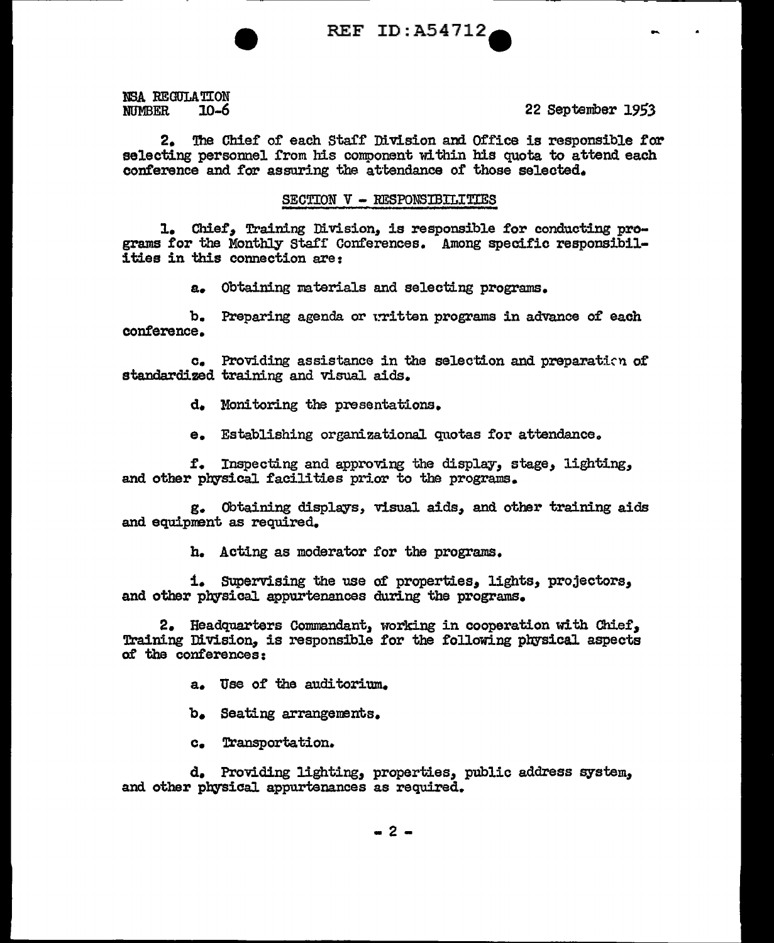**REF ID:A54712** 

NSA REGULATION **NITMBER**  $10 - 6$ 

22 September 1953

The Chief of each Staff Division and Office is responsible for  $2.$ selecting personnel from his component within his quota to attend each conference and for assuring the attendance of those selected.

# SECTION V - RESPONSIBILITIES

1. Chief, Training Division, is responsible for conducting programs for the Monthly Staff Conferences. Among specific responsibilities in this connection are:

a. Obtaining materials and selecting programs.

b. Preparing agenda or written programs in advance of each conference.

c. Providing assistance in the selection and preparation of standardized training and visual aids.

d. Monitoring the presentations.

e. Establishing organizational quotas for attendance.

f. Inspecting and approving the display, stage, lighting, and other physical facilities prior to the programs.

g. Obtaining displays, visual aids, and other training aids and equipment as required.

h. Acting as moderator for the programs.

i. Supervising the use of properties, lights, projectors, and other physical appurtenances during the programs.

2. Headquarters Commandant, working in cooperation with Chief, Training Division, is responsible for the following physical aspects of the conferences:

a. Use of the auditorium.

b. Seating arrangements.

c. Transportation.

d. Providing lighting, properties, public address system, and other physical appurtenances as required.

 $-2-$